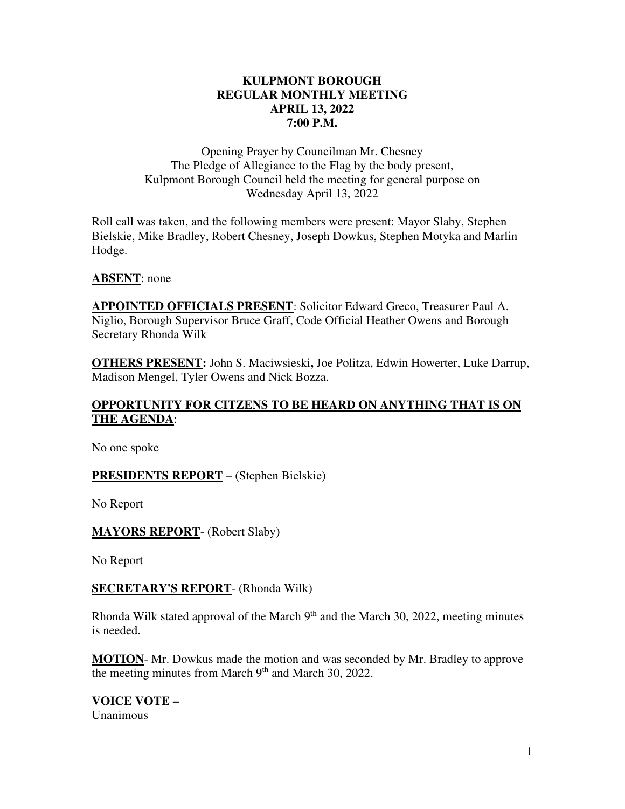## **KULPMONT BOROUGH REGULAR MONTHLY MEETING APRIL 13, 2022 7:00 P.M.**

Opening Prayer by Councilman Mr. Chesney The Pledge of Allegiance to the Flag by the body present, Kulpmont Borough Council held the meeting for general purpose on Wednesday April 13, 2022

Roll call was taken, and the following members were present: Mayor Slaby, Stephen Bielskie, Mike Bradley, Robert Chesney, Joseph Dowkus, Stephen Motyka and Marlin Hodge.

## **ABSENT**: none

**APPOINTED OFFICIALS PRESENT**: Solicitor Edward Greco, Treasurer Paul A. Niglio, Borough Supervisor Bruce Graff, Code Official Heather Owens and Borough Secretary Rhonda Wilk

**OTHERS PRESENT:** John S. Maciwsieski**,** Joe Politza, Edwin Howerter, Luke Darrup, Madison Mengel, Tyler Owens and Nick Bozza.

# **OPPORTUNITY FOR CITZENS TO BE HEARD ON ANYTHING THAT IS ON THE AGENDA**:

No one spoke

## **PRESIDENTS REPORT** – (Stephen Bielskie)

No Report

**MAYORS REPORT**- (Robert Slaby)

No Report

**SECRETARY'S REPORT**- (Rhonda Wilk)

Rhonda Wilk stated approval of the March  $9<sup>th</sup>$  and the March 30, 2022, meeting minutes is needed.

**MOTION**- Mr. Dowkus made the motion and was seconded by Mr. Bradley to approve the meeting minutes from March 9<sup>th</sup> and March 30, 2022.

**VOICE VOTE –**  Unanimous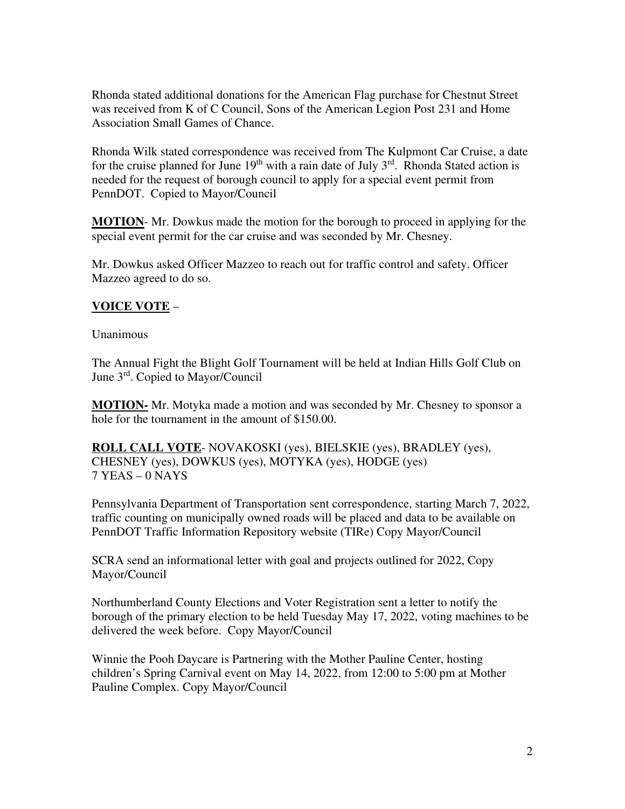Rhonda stated additional donations for the American Flag purchase for Chestnut Street was received from K of C Council, Sons of the American Legion Post 231 and Home Association Small Games of Chance.

Rhonda Wilk stated correspondence was received from The Kulpmont Car Cruise, a date for the cruise planned for June  $19<sup>th</sup>$  with a rain date of July  $3<sup>rd</sup>$ . Rhonda Stated action is needed for the request of borough council to apply for a special event permit from PennDOT. Copied to Mayor/Council

**MOTION**- Mr. Dowkus made the motion for the borough to proceed in applying for the special event permit for the car cruise and was seconded by Mr. Chesney.

Mr. Dowkus asked Officer Mazzeo to reach out for traffic control and safety. Officer Mazzeo agreed to do so.

# **VOICE VOTE** –

Unanimous

The Annual Fight the Blight Golf Tournament will be held at Indian Hills Golf Club on June 3<sup>rd</sup>. Copied to Mayor/Council

**MOTION-** Mr. Motyka made a motion and was seconded by Mr. Chesney to sponsor a hole for the tournament in the amount of \$150.00.

**ROLL CALL VOTE**- NOVAKOSKI (yes), BIELSKIE (yes), BRADLEY (yes), CHESNEY (yes), DOWKUS (yes), MOTYKA (yes), HODGE (yes) 7 YEAS – 0 NAYS

Pennsylvania Department of Transportation sent correspondence, starting March 7, 2022, traffic counting on municipally owned roads will be placed and data to be available on PennDOT Traffic Information Repository website (TIRe) Copy Mayor/Council

SCRA send an informational letter with goal and projects outlined for 2022, Copy Mayor/Council

Northumberland County Elections and Voter Registration sent a letter to notify the borough of the primary election to be held Tuesday May 17, 2022, voting machines to be delivered the week before. Copy Mayor/Council

Winnie the Pooh Daycare is Partnering with the Mother Pauline Center, hosting children's Spring Carnival event on May 14, 2022, from 12:00 to 5:00 pm at Mother Pauline Complex. Copy Mayor/Council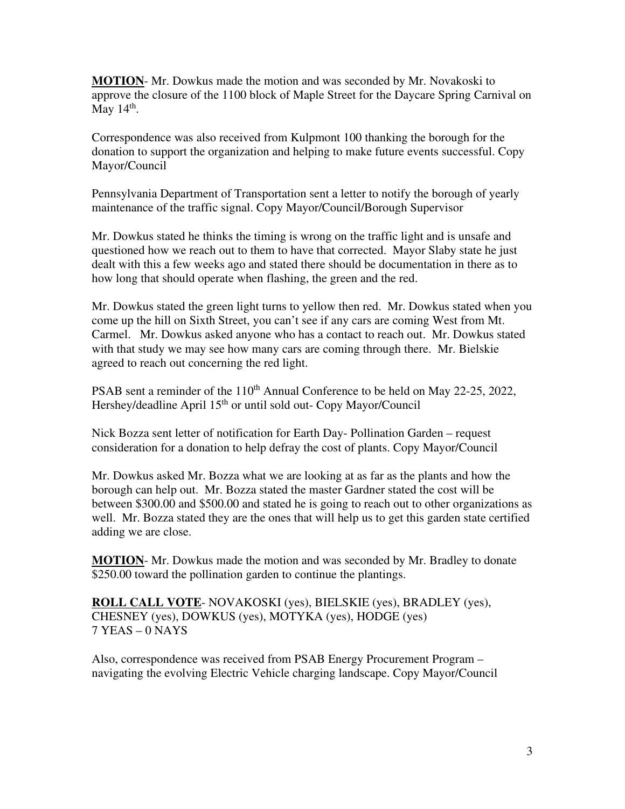**MOTION**- Mr. Dowkus made the motion and was seconded by Mr. Novakoski to approve the closure of the 1100 block of Maple Street for the Daycare Spring Carnival on May  $14<sup>th</sup>$ .

Correspondence was also received from Kulpmont 100 thanking the borough for the donation to support the organization and helping to make future events successful. Copy Mayor/Council

Pennsylvania Department of Transportation sent a letter to notify the borough of yearly maintenance of the traffic signal. Copy Mayor/Council/Borough Supervisor

Mr. Dowkus stated he thinks the timing is wrong on the traffic light and is unsafe and questioned how we reach out to them to have that corrected. Mayor Slaby state he just dealt with this a few weeks ago and stated there should be documentation in there as to how long that should operate when flashing, the green and the red.

Mr. Dowkus stated the green light turns to yellow then red. Mr. Dowkus stated when you come up the hill on Sixth Street, you can't see if any cars are coming West from Mt. Carmel. Mr. Dowkus asked anyone who has a contact to reach out. Mr. Dowkus stated with that study we may see how many cars are coming through there. Mr. Bielskie agreed to reach out concerning the red light.

PSAB sent a reminder of the 110<sup>th</sup> Annual Conference to be held on May 22-25, 2022, Hershey/deadline April 15<sup>th</sup> or until sold out- Copy Mayor/Council

Nick Bozza sent letter of notification for Earth Day- Pollination Garden – request consideration for a donation to help defray the cost of plants. Copy Mayor/Council

Mr. Dowkus asked Mr. Bozza what we are looking at as far as the plants and how the borough can help out. Mr. Bozza stated the master Gardner stated the cost will be between \$300.00 and \$500.00 and stated he is going to reach out to other organizations as well. Mr. Bozza stated they are the ones that will help us to get this garden state certified adding we are close.

**MOTION**- Mr. Dowkus made the motion and was seconded by Mr. Bradley to donate \$250.00 toward the pollination garden to continue the plantings.

**ROLL CALL VOTE**- NOVAKOSKI (yes), BIELSKIE (yes), BRADLEY (yes), CHESNEY (yes), DOWKUS (yes), MOTYKA (yes), HODGE (yes) 7 YEAS – 0 NAYS

Also, correspondence was received from PSAB Energy Procurement Program – navigating the evolving Electric Vehicle charging landscape. Copy Mayor/Council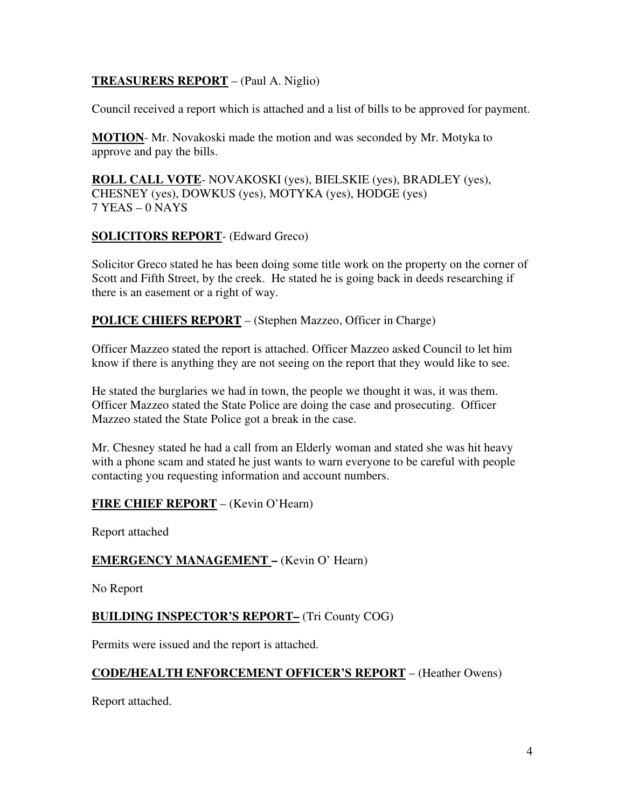# **TREASURERS REPORT** – (Paul A. Niglio)

Council received a report which is attached and a list of bills to be approved for payment.

**MOTION**- Mr. Novakoski made the motion and was seconded by Mr. Motyka to approve and pay the bills.

**ROLL CALL VOTE**- NOVAKOSKI (yes), BIELSKIE (yes), BRADLEY (yes), CHESNEY (yes), DOWKUS (yes), MOTYKA (yes), HODGE (yes) 7 YEAS – 0 NAYS

# **SOLICITORS REPORT**- (Edward Greco)

Solicitor Greco stated he has been doing some title work on the property on the corner of Scott and Fifth Street, by the creek. He stated he is going back in deeds researching if there is an easement or a right of way.

## **POLICE CHIEFS REPORT** – (Stephen Mazzeo, Officer in Charge)

Officer Mazzeo stated the report is attached. Officer Mazzeo asked Council to let him know if there is anything they are not seeing on the report that they would like to see.

He stated the burglaries we had in town, the people we thought it was, it was them. Officer Mazzeo stated the State Police are doing the case and prosecuting. Officer Mazzeo stated the State Police got a break in the case.

Mr. Chesney stated he had a call from an Elderly woman and stated she was hit heavy with a phone scam and stated he just wants to warn everyone to be careful with people contacting you requesting information and account numbers.

## **FIRE CHIEF REPORT** – (Kevin O'Hearn)

Report attached

## **EMERGENCY MANAGEMENT –** (Kevin O' Hearn)

No Report

## **BUILDING INSPECTOR'S REPORT–** (Tri County COG)

Permits were issued and the report is attached.

## **CODE/HEALTH ENFORCEMENT OFFICER'S REPORT** – (Heather Owens)

Report attached.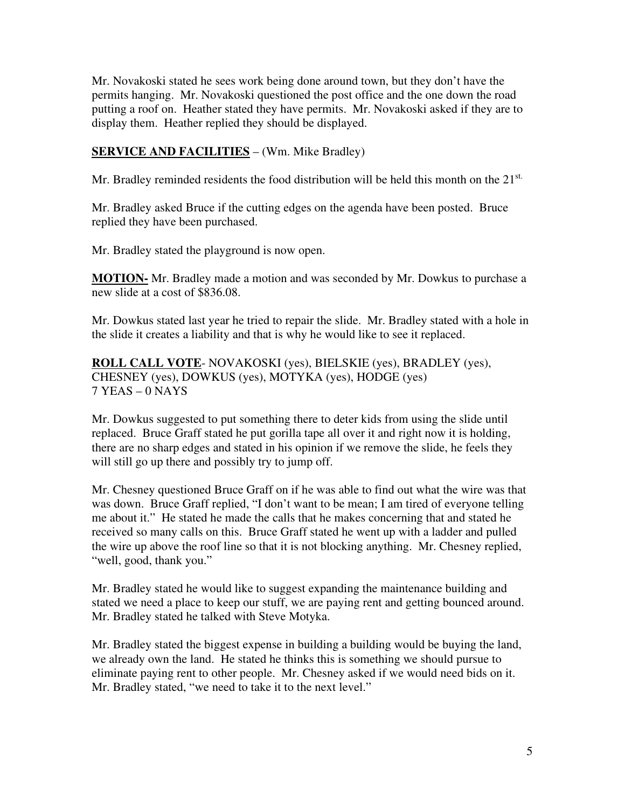Mr. Novakoski stated he sees work being done around town, but they don't have the permits hanging. Mr. Novakoski questioned the post office and the one down the road putting a roof on. Heather stated they have permits. Mr. Novakoski asked if they are to display them. Heather replied they should be displayed.

# **SERVICE AND FACILITIES** – (Wm. Mike Bradley)

Mr. Bradley reminded residents the food distribution will be held this month on the 21<sup>st.</sup>

Mr. Bradley asked Bruce if the cutting edges on the agenda have been posted. Bruce replied they have been purchased.

Mr. Bradley stated the playground is now open.

**MOTION-** Mr. Bradley made a motion and was seconded by Mr. Dowkus to purchase a new slide at a cost of \$836.08.

Mr. Dowkus stated last year he tried to repair the slide. Mr. Bradley stated with a hole in the slide it creates a liability and that is why he would like to see it replaced.

**ROLL CALL VOTE**- NOVAKOSKI (yes), BIELSKIE (yes), BRADLEY (yes), CHESNEY (yes), DOWKUS (yes), MOTYKA (yes), HODGE (yes) 7 YEAS – 0 NAYS

Mr. Dowkus suggested to put something there to deter kids from using the slide until replaced. Bruce Graff stated he put gorilla tape all over it and right now it is holding, there are no sharp edges and stated in his opinion if we remove the slide, he feels they will still go up there and possibly try to jump off.

Mr. Chesney questioned Bruce Graff on if he was able to find out what the wire was that was down. Bruce Graff replied, "I don't want to be mean; I am tired of everyone telling me about it." He stated he made the calls that he makes concerning that and stated he received so many calls on this. Bruce Graff stated he went up with a ladder and pulled the wire up above the roof line so that it is not blocking anything. Mr. Chesney replied, "well, good, thank you."

Mr. Bradley stated he would like to suggest expanding the maintenance building and stated we need a place to keep our stuff, we are paying rent and getting bounced around. Mr. Bradley stated he talked with Steve Motyka.

Mr. Bradley stated the biggest expense in building a building would be buying the land, we already own the land. He stated he thinks this is something we should pursue to eliminate paying rent to other people. Mr. Chesney asked if we would need bids on it. Mr. Bradley stated, "we need to take it to the next level."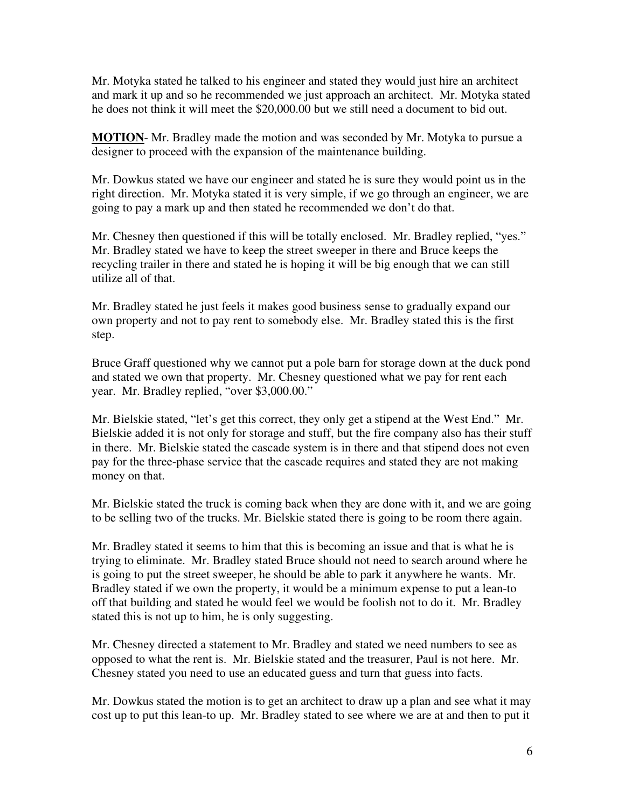Mr. Motyka stated he talked to his engineer and stated they would just hire an architect and mark it up and so he recommended we just approach an architect. Mr. Motyka stated he does not think it will meet the \$20,000.00 but we still need a document to bid out.

**MOTION**- Mr. Bradley made the motion and was seconded by Mr. Motyka to pursue a designer to proceed with the expansion of the maintenance building.

Mr. Dowkus stated we have our engineer and stated he is sure they would point us in the right direction. Mr. Motyka stated it is very simple, if we go through an engineer, we are going to pay a mark up and then stated he recommended we don't do that.

Mr. Chesney then questioned if this will be totally enclosed. Mr. Bradley replied, "yes." Mr. Bradley stated we have to keep the street sweeper in there and Bruce keeps the recycling trailer in there and stated he is hoping it will be big enough that we can still utilize all of that.

Mr. Bradley stated he just feels it makes good business sense to gradually expand our own property and not to pay rent to somebody else. Mr. Bradley stated this is the first step.

Bruce Graff questioned why we cannot put a pole barn for storage down at the duck pond and stated we own that property. Mr. Chesney questioned what we pay for rent each year. Mr. Bradley replied, "over \$3,000.00."

Mr. Bielskie stated, "let's get this correct, they only get a stipend at the West End." Mr. Bielskie added it is not only for storage and stuff, but the fire company also has their stuff in there. Mr. Bielskie stated the cascade system is in there and that stipend does not even pay for the three-phase service that the cascade requires and stated they are not making money on that.

Mr. Bielskie stated the truck is coming back when they are done with it, and we are going to be selling two of the trucks. Mr. Bielskie stated there is going to be room there again.

Mr. Bradley stated it seems to him that this is becoming an issue and that is what he is trying to eliminate. Mr. Bradley stated Bruce should not need to search around where he is going to put the street sweeper, he should be able to park it anywhere he wants. Mr. Bradley stated if we own the property, it would be a minimum expense to put a lean-to off that building and stated he would feel we would be foolish not to do it. Mr. Bradley stated this is not up to him, he is only suggesting.

Mr. Chesney directed a statement to Mr. Bradley and stated we need numbers to see as opposed to what the rent is. Mr. Bielskie stated and the treasurer, Paul is not here. Mr. Chesney stated you need to use an educated guess and turn that guess into facts.

Mr. Dowkus stated the motion is to get an architect to draw up a plan and see what it may cost up to put this lean-to up. Mr. Bradley stated to see where we are at and then to put it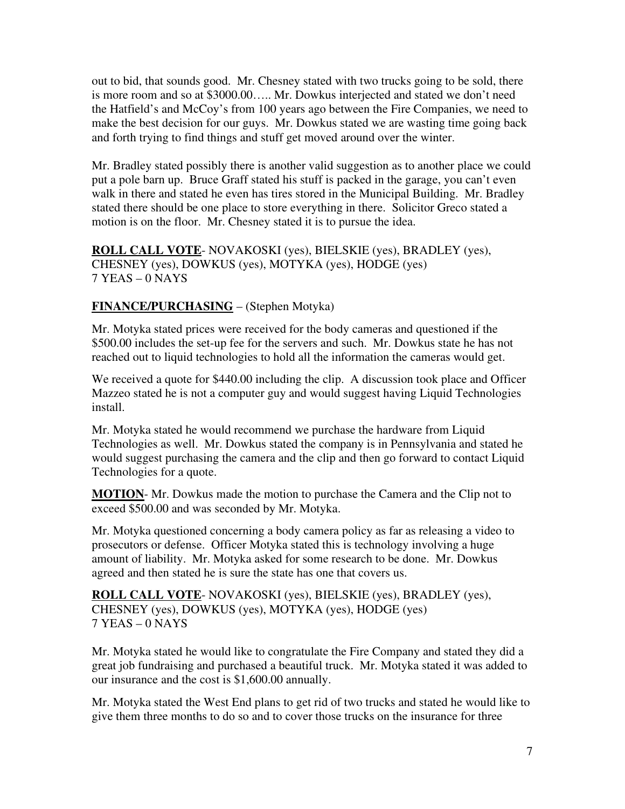out to bid, that sounds good. Mr. Chesney stated with two trucks going to be sold, there is more room and so at \$3000.00….. Mr. Dowkus interjected and stated we don't need the Hatfield's and McCoy's from 100 years ago between the Fire Companies, we need to make the best decision for our guys. Mr. Dowkus stated we are wasting time going back and forth trying to find things and stuff get moved around over the winter.

Mr. Bradley stated possibly there is another valid suggestion as to another place we could put a pole barn up. Bruce Graff stated his stuff is packed in the garage, you can't even walk in there and stated he even has tires stored in the Municipal Building. Mr. Bradley stated there should be one place to store everything in there. Solicitor Greco stated a motion is on the floor. Mr. Chesney stated it is to pursue the idea.

**ROLL CALL VOTE**- NOVAKOSKI (yes), BIELSKIE (yes), BRADLEY (yes), CHESNEY (yes), DOWKUS (yes), MOTYKA (yes), HODGE (yes) 7 YEAS – 0 NAYS

# **FINANCE/PURCHASING** – (Stephen Motyka)

Mr. Motyka stated prices were received for the body cameras and questioned if the \$500.00 includes the set-up fee for the servers and such. Mr. Dowkus state he has not reached out to liquid technologies to hold all the information the cameras would get.

We received a quote for \$440.00 including the clip. A discussion took place and Officer Mazzeo stated he is not a computer guy and would suggest having Liquid Technologies install.

Mr. Motyka stated he would recommend we purchase the hardware from Liquid Technologies as well. Mr. Dowkus stated the company is in Pennsylvania and stated he would suggest purchasing the camera and the clip and then go forward to contact Liquid Technologies for a quote.

**MOTION**- Mr. Dowkus made the motion to purchase the Camera and the Clip not to exceed \$500.00 and was seconded by Mr. Motyka.

Mr. Motyka questioned concerning a body camera policy as far as releasing a video to prosecutors or defense. Officer Motyka stated this is technology involving a huge amount of liability. Mr. Motyka asked for some research to be done. Mr. Dowkus agreed and then stated he is sure the state has one that covers us.

**ROLL CALL VOTE**- NOVAKOSKI (yes), BIELSKIE (yes), BRADLEY (yes), CHESNEY (yes), DOWKUS (yes), MOTYKA (yes), HODGE (yes) 7 YEAS – 0 NAYS

Mr. Motyka stated he would like to congratulate the Fire Company and stated they did a great job fundraising and purchased a beautiful truck. Mr. Motyka stated it was added to our insurance and the cost is \$1,600.00 annually.

Mr. Motyka stated the West End plans to get rid of two trucks and stated he would like to give them three months to do so and to cover those trucks on the insurance for three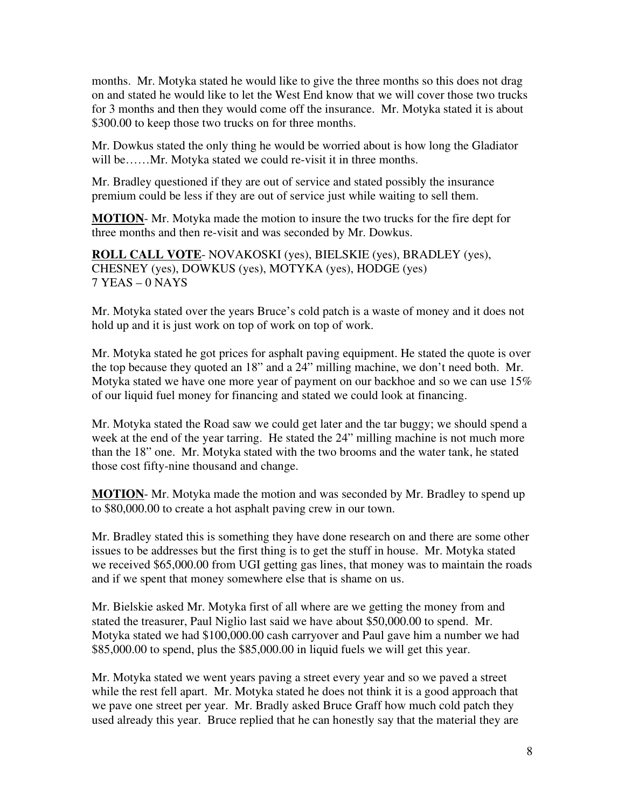months. Mr. Motyka stated he would like to give the three months so this does not drag on and stated he would like to let the West End know that we will cover those two trucks for 3 months and then they would come off the insurance. Mr. Motyka stated it is about \$300.00 to keep those two trucks on for three months.

Mr. Dowkus stated the only thing he would be worried about is how long the Gladiator will be……Mr. Motyka stated we could re-visit it in three months.

Mr. Bradley questioned if they are out of service and stated possibly the insurance premium could be less if they are out of service just while waiting to sell them.

**MOTION**- Mr. Motyka made the motion to insure the two trucks for the fire dept for three months and then re-visit and was seconded by Mr. Dowkus.

**ROLL CALL VOTE**- NOVAKOSKI (yes), BIELSKIE (yes), BRADLEY (yes), CHESNEY (yes), DOWKUS (yes), MOTYKA (yes), HODGE (yes) 7 YEAS – 0 NAYS

Mr. Motyka stated over the years Bruce's cold patch is a waste of money and it does not hold up and it is just work on top of work on top of work.

Mr. Motyka stated he got prices for asphalt paving equipment. He stated the quote is over the top because they quoted an 18" and a 24" milling machine, we don't need both. Mr. Motyka stated we have one more year of payment on our backhoe and so we can use 15% of our liquid fuel money for financing and stated we could look at financing.

Mr. Motyka stated the Road saw we could get later and the tar buggy; we should spend a week at the end of the year tarring. He stated the 24" milling machine is not much more than the 18" one. Mr. Motyka stated with the two brooms and the water tank, he stated those cost fifty-nine thousand and change.

**MOTION**- Mr. Motyka made the motion and was seconded by Mr. Bradley to spend up to \$80,000.00 to create a hot asphalt paving crew in our town.

Mr. Bradley stated this is something they have done research on and there are some other issues to be addresses but the first thing is to get the stuff in house. Mr. Motyka stated we received \$65,000.00 from UGI getting gas lines, that money was to maintain the roads and if we spent that money somewhere else that is shame on us.

Mr. Bielskie asked Mr. Motyka first of all where are we getting the money from and stated the treasurer, Paul Niglio last said we have about \$50,000.00 to spend. Mr. Motyka stated we had \$100,000.00 cash carryover and Paul gave him a number we had \$85,000.00 to spend, plus the \$85,000.00 in liquid fuels we will get this year.

Mr. Motyka stated we went years paving a street every year and so we paved a street while the rest fell apart. Mr. Motyka stated he does not think it is a good approach that we pave one street per year. Mr. Bradly asked Bruce Graff how much cold patch they used already this year. Bruce replied that he can honestly say that the material they are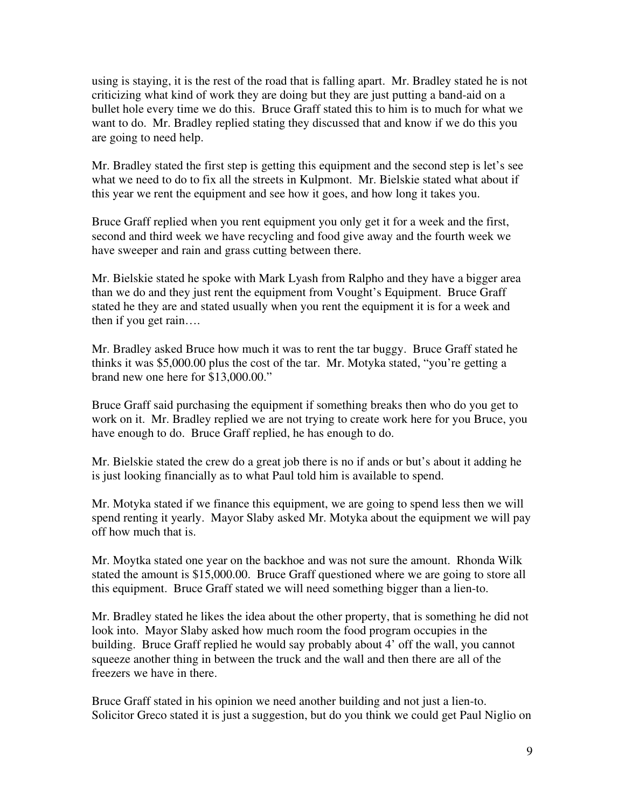using is staying, it is the rest of the road that is falling apart. Mr. Bradley stated he is not criticizing what kind of work they are doing but they are just putting a band-aid on a bullet hole every time we do this. Bruce Graff stated this to him is to much for what we want to do. Mr. Bradley replied stating they discussed that and know if we do this you are going to need help.

Mr. Bradley stated the first step is getting this equipment and the second step is let's see what we need to do to fix all the streets in Kulpmont. Mr. Bielskie stated what about if this year we rent the equipment and see how it goes, and how long it takes you.

Bruce Graff replied when you rent equipment you only get it for a week and the first, second and third week we have recycling and food give away and the fourth week we have sweeper and rain and grass cutting between there.

Mr. Bielskie stated he spoke with Mark Lyash from Ralpho and they have a bigger area than we do and they just rent the equipment from Vought's Equipment. Bruce Graff stated he they are and stated usually when you rent the equipment it is for a week and then if you get rain….

Mr. Bradley asked Bruce how much it was to rent the tar buggy. Bruce Graff stated he thinks it was \$5,000.00 plus the cost of the tar. Mr. Motyka stated, "you're getting a brand new one here for \$13,000.00."

Bruce Graff said purchasing the equipment if something breaks then who do you get to work on it. Mr. Bradley replied we are not trying to create work here for you Bruce, you have enough to do. Bruce Graff replied, he has enough to do.

Mr. Bielskie stated the crew do a great job there is no if ands or but's about it adding he is just looking financially as to what Paul told him is available to spend.

Mr. Motyka stated if we finance this equipment, we are going to spend less then we will spend renting it yearly. Mayor Slaby asked Mr. Motyka about the equipment we will pay off how much that is.

Mr. Moytka stated one year on the backhoe and was not sure the amount. Rhonda Wilk stated the amount is \$15,000.00. Bruce Graff questioned where we are going to store all this equipment. Bruce Graff stated we will need something bigger than a lien-to.

Mr. Bradley stated he likes the idea about the other property, that is something he did not look into. Mayor Slaby asked how much room the food program occupies in the building. Bruce Graff replied he would say probably about 4' off the wall, you cannot squeeze another thing in between the truck and the wall and then there are all of the freezers we have in there.

Bruce Graff stated in his opinion we need another building and not just a lien-to. Solicitor Greco stated it is just a suggestion, but do you think we could get Paul Niglio on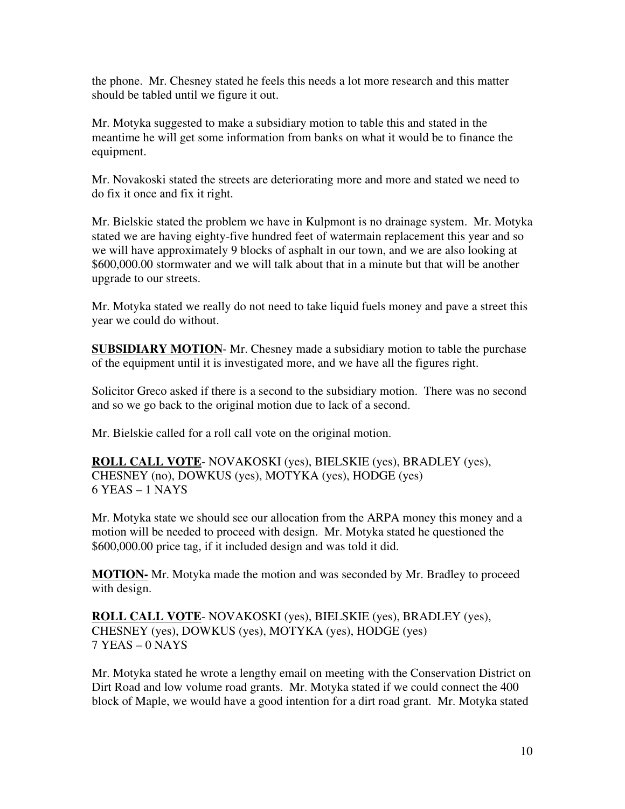the phone. Mr. Chesney stated he feels this needs a lot more research and this matter should be tabled until we figure it out.

Mr. Motyka suggested to make a subsidiary motion to table this and stated in the meantime he will get some information from banks on what it would be to finance the equipment.

Mr. Novakoski stated the streets are deteriorating more and more and stated we need to do fix it once and fix it right.

Mr. Bielskie stated the problem we have in Kulpmont is no drainage system. Mr. Motyka stated we are having eighty-five hundred feet of watermain replacement this year and so we will have approximately 9 blocks of asphalt in our town, and we are also looking at \$600,000.00 stormwater and we will talk about that in a minute but that will be another upgrade to our streets.

Mr. Motyka stated we really do not need to take liquid fuels money and pave a street this year we could do without.

**SUBSIDIARY MOTION**- Mr. Chesney made a subsidiary motion to table the purchase of the equipment until it is investigated more, and we have all the figures right.

Solicitor Greco asked if there is a second to the subsidiary motion. There was no second and so we go back to the original motion due to lack of a second.

Mr. Bielskie called for a roll call vote on the original motion.

**ROLL CALL VOTE**- NOVAKOSKI (yes), BIELSKIE (yes), BRADLEY (yes), CHESNEY (no), DOWKUS (yes), MOTYKA (yes), HODGE (yes) 6 YEAS – 1 NAYS

Mr. Motyka state we should see our allocation from the ARPA money this money and a motion will be needed to proceed with design. Mr. Motyka stated he questioned the \$600,000.00 price tag, if it included design and was told it did.

**MOTION-** Mr. Motyka made the motion and was seconded by Mr. Bradley to proceed with design.

**ROLL CALL VOTE**- NOVAKOSKI (yes), BIELSKIE (yes), BRADLEY (yes), CHESNEY (yes), DOWKUS (yes), MOTYKA (yes), HODGE (yes) 7 YEAS – 0 NAYS

Mr. Motyka stated he wrote a lengthy email on meeting with the Conservation District on Dirt Road and low volume road grants. Mr. Motyka stated if we could connect the 400 block of Maple, we would have a good intention for a dirt road grant. Mr. Motyka stated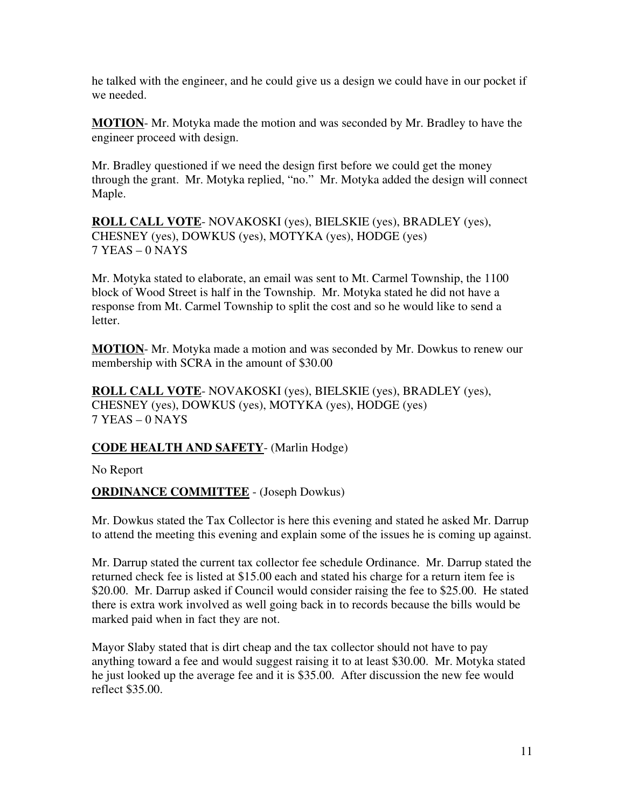he talked with the engineer, and he could give us a design we could have in our pocket if we needed.

**MOTION**- Mr. Motyka made the motion and was seconded by Mr. Bradley to have the engineer proceed with design.

Mr. Bradley questioned if we need the design first before we could get the money through the grant. Mr. Motyka replied, "no." Mr. Motyka added the design will connect Maple.

**ROLL CALL VOTE**- NOVAKOSKI (yes), BIELSKIE (yes), BRADLEY (yes), CHESNEY (yes), DOWKUS (yes), MOTYKA (yes), HODGE (yes) 7 YEAS – 0 NAYS

Mr. Motyka stated to elaborate, an email was sent to Mt. Carmel Township, the 1100 block of Wood Street is half in the Township. Mr. Motyka stated he did not have a response from Mt. Carmel Township to split the cost and so he would like to send a letter.

**MOTION**- Mr. Motyka made a motion and was seconded by Mr. Dowkus to renew our membership with SCRA in the amount of \$30.00

**ROLL CALL VOTE**- NOVAKOSKI (yes), BIELSKIE (yes), BRADLEY (yes), CHESNEY (yes), DOWKUS (yes), MOTYKA (yes), HODGE (yes) 7 YEAS – 0 NAYS

# **CODE HEALTH AND SAFETY**- (Marlin Hodge)

No Report

# **ORDINANCE COMMITTEE** - (Joseph Dowkus)

Mr. Dowkus stated the Tax Collector is here this evening and stated he asked Mr. Darrup to attend the meeting this evening and explain some of the issues he is coming up against.

Mr. Darrup stated the current tax collector fee schedule Ordinance. Mr. Darrup stated the returned check fee is listed at \$15.00 each and stated his charge for a return item fee is \$20.00. Mr. Darrup asked if Council would consider raising the fee to \$25.00. He stated there is extra work involved as well going back in to records because the bills would be marked paid when in fact they are not.

Mayor Slaby stated that is dirt cheap and the tax collector should not have to pay anything toward a fee and would suggest raising it to at least \$30.00. Mr. Motyka stated he just looked up the average fee and it is \$35.00. After discussion the new fee would reflect \$35.00.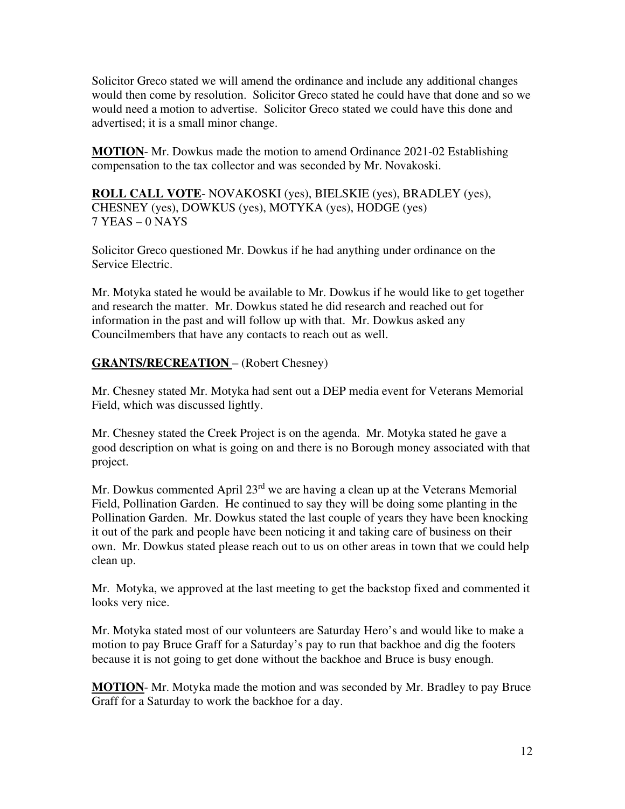Solicitor Greco stated we will amend the ordinance and include any additional changes would then come by resolution. Solicitor Greco stated he could have that done and so we would need a motion to advertise. Solicitor Greco stated we could have this done and advertised; it is a small minor change.

**MOTION**- Mr. Dowkus made the motion to amend Ordinance 2021-02 Establishing compensation to the tax collector and was seconded by Mr. Novakoski.

**ROLL CALL VOTE**- NOVAKOSKI (yes), BIELSKIE (yes), BRADLEY (yes), CHESNEY (yes), DOWKUS (yes), MOTYKA (yes), HODGE (yes) 7 YEAS – 0 NAYS

Solicitor Greco questioned Mr. Dowkus if he had anything under ordinance on the Service Electric.

Mr. Motyka stated he would be available to Mr. Dowkus if he would like to get together and research the matter. Mr. Dowkus stated he did research and reached out for information in the past and will follow up with that. Mr. Dowkus asked any Councilmembers that have any contacts to reach out as well.

# **GRANTS/RECREATION** – (Robert Chesney)

Mr. Chesney stated Mr. Motyka had sent out a DEP media event for Veterans Memorial Field, which was discussed lightly.

Mr. Chesney stated the Creek Project is on the agenda. Mr. Motyka stated he gave a good description on what is going on and there is no Borough money associated with that project.

Mr. Dowkus commented April 23<sup>rd</sup> we are having a clean up at the Veterans Memorial Field, Pollination Garden. He continued to say they will be doing some planting in the Pollination Garden. Mr. Dowkus stated the last couple of years they have been knocking it out of the park and people have been noticing it and taking care of business on their own. Mr. Dowkus stated please reach out to us on other areas in town that we could help clean up.

Mr. Motyka, we approved at the last meeting to get the backstop fixed and commented it looks very nice.

Mr. Motyka stated most of our volunteers are Saturday Hero's and would like to make a motion to pay Bruce Graff for a Saturday's pay to run that backhoe and dig the footers because it is not going to get done without the backhoe and Bruce is busy enough.

**MOTION**- Mr. Motyka made the motion and was seconded by Mr. Bradley to pay Bruce Graff for a Saturday to work the backhoe for a day.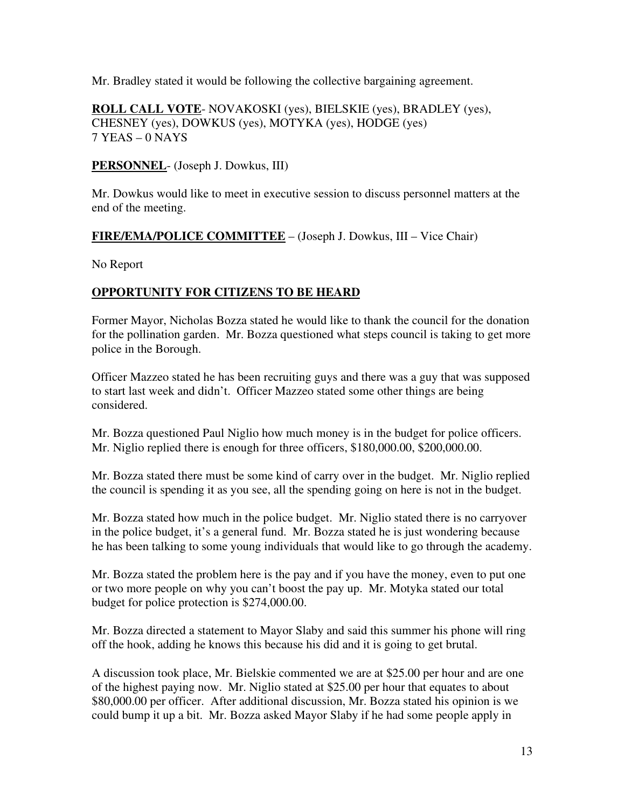Mr. Bradley stated it would be following the collective bargaining agreement.

**ROLL CALL VOTE**- NOVAKOSKI (yes), BIELSKIE (yes), BRADLEY (yes), CHESNEY (yes), DOWKUS (yes), MOTYKA (yes), HODGE (yes) 7 YEAS – 0 NAYS

**PERSONNEL**- (Joseph J. Dowkus, III)

Mr. Dowkus would like to meet in executive session to discuss personnel matters at the end of the meeting.

## **FIRE/EMA/POLICE COMMITTEE** – (Joseph J. Dowkus, III – Vice Chair)

No Report

## **OPPORTUNITY FOR CITIZENS TO BE HEARD**

Former Mayor, Nicholas Bozza stated he would like to thank the council for the donation for the pollination garden. Mr. Bozza questioned what steps council is taking to get more police in the Borough.

Officer Mazzeo stated he has been recruiting guys and there was a guy that was supposed to start last week and didn't. Officer Mazzeo stated some other things are being considered.

Mr. Bozza questioned Paul Niglio how much money is in the budget for police officers. Mr. Niglio replied there is enough for three officers, \$180,000.00, \$200,000.00.

Mr. Bozza stated there must be some kind of carry over in the budget. Mr. Niglio replied the council is spending it as you see, all the spending going on here is not in the budget.

Mr. Bozza stated how much in the police budget. Mr. Niglio stated there is no carryover in the police budget, it's a general fund. Mr. Bozza stated he is just wondering because he has been talking to some young individuals that would like to go through the academy.

Mr. Bozza stated the problem here is the pay and if you have the money, even to put one or two more people on why you can't boost the pay up. Mr. Motyka stated our total budget for police protection is \$274,000.00.

Mr. Bozza directed a statement to Mayor Slaby and said this summer his phone will ring off the hook, adding he knows this because his did and it is going to get brutal.

A discussion took place, Mr. Bielskie commented we are at \$25.00 per hour and are one of the highest paying now. Mr. Niglio stated at \$25.00 per hour that equates to about \$80,000.00 per officer. After additional discussion, Mr. Bozza stated his opinion is we could bump it up a bit. Mr. Bozza asked Mayor Slaby if he had some people apply in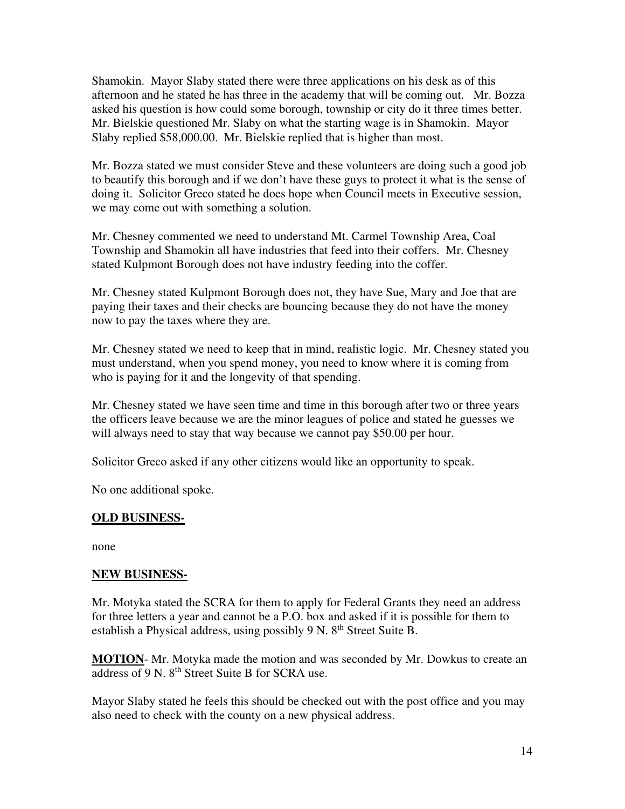Shamokin. Mayor Slaby stated there were three applications on his desk as of this afternoon and he stated he has three in the academy that will be coming out. Mr. Bozza asked his question is how could some borough, township or city do it three times better. Mr. Bielskie questioned Mr. Slaby on what the starting wage is in Shamokin. Mayor Slaby replied \$58,000.00. Mr. Bielskie replied that is higher than most.

Mr. Bozza stated we must consider Steve and these volunteers are doing such a good job to beautify this borough and if we don't have these guys to protect it what is the sense of doing it. Solicitor Greco stated he does hope when Council meets in Executive session, we may come out with something a solution.

Mr. Chesney commented we need to understand Mt. Carmel Township Area, Coal Township and Shamokin all have industries that feed into their coffers. Mr. Chesney stated Kulpmont Borough does not have industry feeding into the coffer.

Mr. Chesney stated Kulpmont Borough does not, they have Sue, Mary and Joe that are paying their taxes and their checks are bouncing because they do not have the money now to pay the taxes where they are.

Mr. Chesney stated we need to keep that in mind, realistic logic. Mr. Chesney stated you must understand, when you spend money, you need to know where it is coming from who is paying for it and the longevity of that spending.

Mr. Chesney stated we have seen time and time in this borough after two or three years the officers leave because we are the minor leagues of police and stated he guesses we will always need to stay that way because we cannot pay \$50.00 per hour.

Solicitor Greco asked if any other citizens would like an opportunity to speak.

No one additional spoke.

#### **OLD BUSINESS-**

none

#### **NEW BUSINESS-**

Mr. Motyka stated the SCRA for them to apply for Federal Grants they need an address for three letters a year and cannot be a P.O. box and asked if it is possible for them to establish a Physical address, using possibly 9 N.  $8<sup>th</sup>$  Street Suite B.

**MOTION**- Mr. Motyka made the motion and was seconded by Mr. Dowkus to create an address of 9 N. 8<sup>th</sup> Street Suite B for SCRA use.

Mayor Slaby stated he feels this should be checked out with the post office and you may also need to check with the county on a new physical address.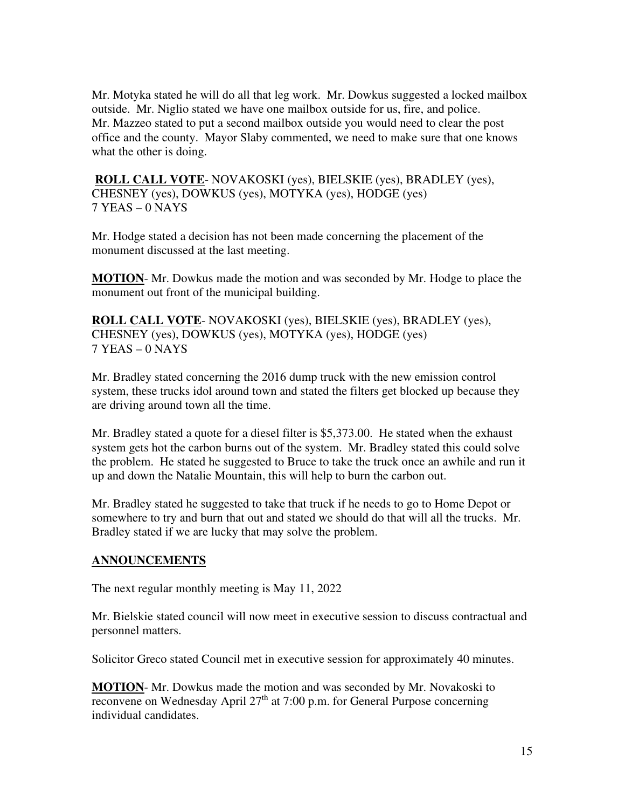Mr. Motyka stated he will do all that leg work. Mr. Dowkus suggested a locked mailbox outside. Mr. Niglio stated we have one mailbox outside for us, fire, and police. Mr. Mazzeo stated to put a second mailbox outside you would need to clear the post office and the county. Mayor Slaby commented, we need to make sure that one knows what the other is doing.

**ROLL CALL VOTE**- NOVAKOSKI (yes), BIELSKIE (yes), BRADLEY (yes), CHESNEY (yes), DOWKUS (yes), MOTYKA (yes), HODGE (yes) 7 YEAS – 0 NAYS

Mr. Hodge stated a decision has not been made concerning the placement of the monument discussed at the last meeting.

**MOTION**- Mr. Dowkus made the motion and was seconded by Mr. Hodge to place the monument out front of the municipal building.

**ROLL CALL VOTE**- NOVAKOSKI (yes), BIELSKIE (yes), BRADLEY (yes), CHESNEY (yes), DOWKUS (yes), MOTYKA (yes), HODGE (yes) 7 YEAS – 0 NAYS

Mr. Bradley stated concerning the 2016 dump truck with the new emission control system, these trucks idol around town and stated the filters get blocked up because they are driving around town all the time.

Mr. Bradley stated a quote for a diesel filter is \$5,373.00. He stated when the exhaust system gets hot the carbon burns out of the system. Mr. Bradley stated this could solve the problem. He stated he suggested to Bruce to take the truck once an awhile and run it up and down the Natalie Mountain, this will help to burn the carbon out.

Mr. Bradley stated he suggested to take that truck if he needs to go to Home Depot or somewhere to try and burn that out and stated we should do that will all the trucks. Mr. Bradley stated if we are lucky that may solve the problem.

## **ANNOUNCEMENTS**

The next regular monthly meeting is May 11, 2022

Mr. Bielskie stated council will now meet in executive session to discuss contractual and personnel matters.

Solicitor Greco stated Council met in executive session for approximately 40 minutes.

**MOTION**- Mr. Dowkus made the motion and was seconded by Mr. Novakoski to reconvene on Wednesday April  $27<sup>th</sup>$  at 7:00 p.m. for General Purpose concerning individual candidates.